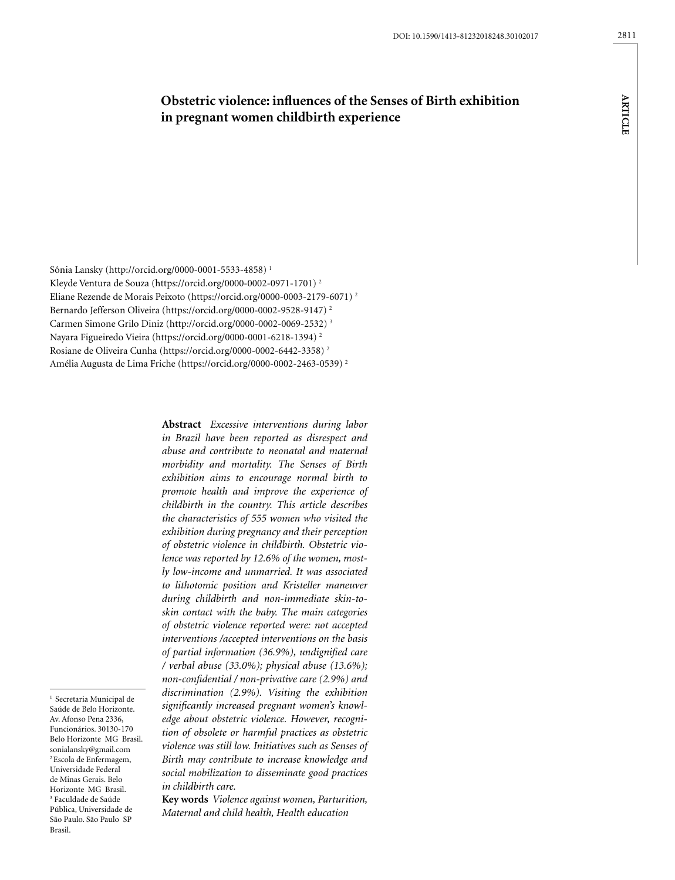# **Obstetric violence: influences of the Senses of Birth exhibition**

**in pregnant women childbirth experience**

Sônia Lansky (http://orcid.org/0000-0001-5533-4858) 1 Kleyde Ventura de Souza (https://orcid.org/0000-0002-0971-1701) 2 Eliane Rezende de Morais Peixoto (https://orcid.org/0000-0003-2179-6071) 2 Bernardo Jefferson Oliveira (https://orcid.org/0000-0002-9528-9147) 2 Carmen Simone Grilo Diniz (http://orcid.org/0000-0002-0069-2532) 3 Nayara Figueiredo Vieira (https://orcid.org/0000-0001-6218-1394) 2 Rosiane de Oliveira Cunha (https://orcid.org/0000-0002-6442-3358) 2 Amélia Augusta de Lima Friche (https://orcid.org/0000-0002-2463-0539) 2

> **Abstract** *Excessive interventions during labor in Brazil have been reported as disrespect and abuse and contribute to neonatal and maternal morbidity and mortality. The Senses of Birth exhibition aims to encourage normal birth to promote health and improve the experience of childbirth in the country. This article describes the characteristics of 555 women who visited the exhibition during pregnancy and their perception of obstetric violence in childbirth. Obstetric violence was reported by 12.6% of the women, mostly low-income and unmarried. It was associated to lithotomic position and Kristeller maneuver during childbirth and non-immediate skin-toskin contact with the baby. The main categories of obstetric violence reported were: not accepted interventions /accepted interventions on the basis of partial information (36.9%), undignified care / verbal abuse (33.0%); physical abuse (13.6%); non-confidential / non-privative care (2.9%) and discrimination (2.9%). Visiting the exhibition significantly increased pregnant women's knowledge about obstetric violence. However, recognition of obsolete or harmful practices as obstetric violence was still low. Initiatives such as Senses of Birth may contribute to increase knowledge and social mobilization to disseminate good practices in childbirth care.*

> **Key words** *Violence against women, Parturition, Maternal and child health, Health education*

<sup>1</sup> Secretaria Municipal de Saúde de Belo Horizonte. Av. Afonso Pena 2336, Funcionários. 30130-170 Belo Horizonte MG Brasil. sonialansky@gmail.com 2 Escola de Enfermagem, Universidade Federal de Minas Gerais. Belo Horizonte MG Brasil. 3 Faculdade de Saúde Pública, Universidade de São Paulo. São Paulo SP Brasil.

**ARTICLE ARTICLE**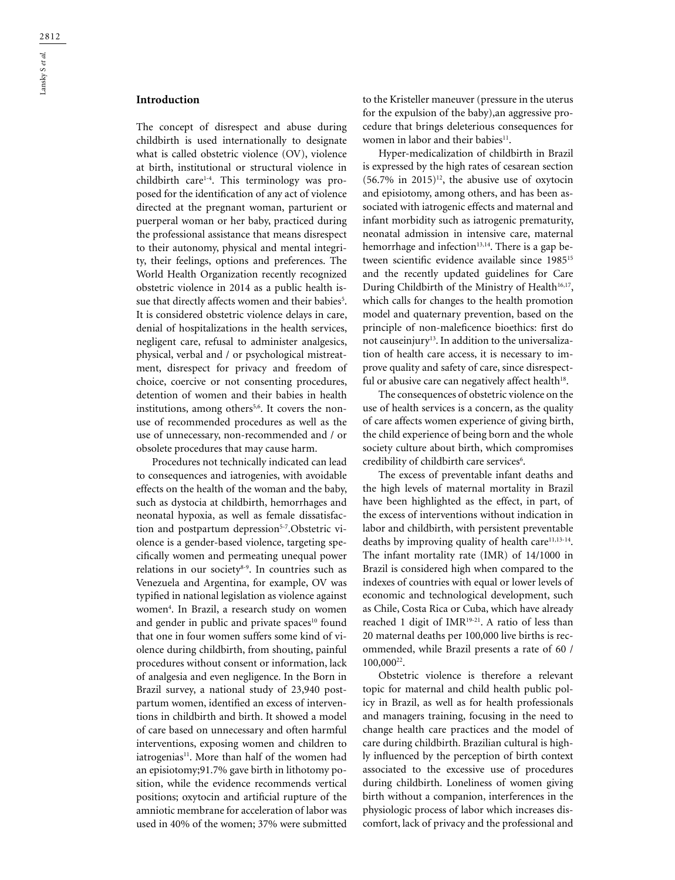## **Introduction**

The concept of disrespect and abuse during childbirth is used internationally to designate what is called obstetric violence (OV), violence at birth, institutional or structural violence in childbirth care<sup>1-4</sup>. This terminology was proposed for the identification of any act of violence directed at the pregnant woman, parturient or puerperal woman or her baby, practiced during the professional assistance that means disrespect to their autonomy, physical and mental integrity, their feelings, options and preferences. The World Health Organization recently recognized obstetric violence in 2014 as a public health issue that directly affects women and their babies<sup>5</sup>. It is considered obstetric violence delays in care, denial of hospitalizations in the health services, negligent care, refusal to administer analgesics, physical, verbal and / or psychological mistreatment, disrespect for privacy and freedom of choice, coercive or not consenting procedures, detention of women and their babies in health institutions, among others<sup>5,6</sup>. It covers the nonuse of recommended procedures as well as the use of unnecessary, non-recommended and / or obsolete procedures that may cause harm.

Procedures not technically indicated can lead to consequences and iatrogenies, with avoidable effects on the health of the woman and the baby, such as dystocia at childbirth, hemorrhages and neonatal hypoxia, as well as female dissatisfaction and postpartum depression<sup>5-7</sup>.Obstetric violence is a gender-based violence, targeting specifically women and permeating unequal power relations in our society<sup>8-9</sup>. In countries such as Venezuela and Argentina, for example, OV was typified in national legislation as violence against women4 . In Brazil, a research study on women and gender in public and private spaces<sup>10</sup> found that one in four women suffers some kind of violence during childbirth, from shouting, painful procedures without consent or information, lack of analgesia and even negligence. In the Born in Brazil survey, a national study of 23,940 postpartum women, identified an excess of interventions in childbirth and birth. It showed a model of care based on unnecessary and often harmful interventions, exposing women and children to iatrogenias<sup>11</sup>. More than half of the women had an episiotomy;91.7% gave birth in lithotomy position, while the evidence recommends vertical positions; oxytocin and artificial rupture of the amniotic membrane for acceleration of labor was used in 40% of the women; 37% were submitted

to the Kristeller maneuver (pressure in the uterus for the expulsion of the baby),an aggressive procedure that brings deleterious consequences for women in labor and their babies<sup>11</sup>.

Hyper-medicalization of childbirth in Brazil is expressed by the high rates of cesarean section  $(56.7\% \text{ in } 2015)^{12}$ , the abusive use of oxytocin and episiotomy, among others, and has been associated with iatrogenic effects and maternal and infant morbidity such as iatrogenic prematurity, neonatal admission in intensive care, maternal hemorrhage and infection<sup>13,14</sup>. There is a gap between scientific evidence available since 1985<sup>15</sup> and the recently updated guidelines for Care During Childbirth of the Ministry of Health<sup>16,17</sup>, which calls for changes to the health promotion model and quaternary prevention, based on the principle of non-maleficence bioethics: first do not causeinjury<sup>13</sup>. In addition to the universalization of health care access, it is necessary to improve quality and safety of care, since disrespectful or abusive care can negatively affect health<sup>18</sup>.

The consequences of obstetric violence on the use of health services is a concern, as the quality of care affects women experience of giving birth, the child experience of being born and the whole society culture about birth, which compromises credibility of childbirth care services<sup>6</sup>.

The excess of preventable infant deaths and the high levels of maternal mortality in Brazil have been highlighted as the effect, in part, of the excess of interventions without indication in labor and childbirth, with persistent preventable deaths by improving quality of health care<sup>11,13-14</sup>. The infant mortality rate (IMR) of 14/1000 in Brazil is considered high when compared to the indexes of countries with equal or lower levels of economic and technological development, such as Chile, Costa Rica or Cuba, which have already reached 1 digit of IMR<sup>19-21</sup>. A ratio of less than 20 maternal deaths per 100,000 live births is recommended, while Brazil presents a rate of 60 / 100,00022.

Obstetric violence is therefore a relevant topic for maternal and child health public policy in Brazil, as well as for health professionals and managers training, focusing in the need to change health care practices and the model of care during childbirth. Brazilian cultural is highly influenced by the perception of birth context associated to the excessive use of procedures during childbirth. Loneliness of women giving birth without a companion, interferences in the physiologic process of labor which increases discomfort, lack of privacy and the professional and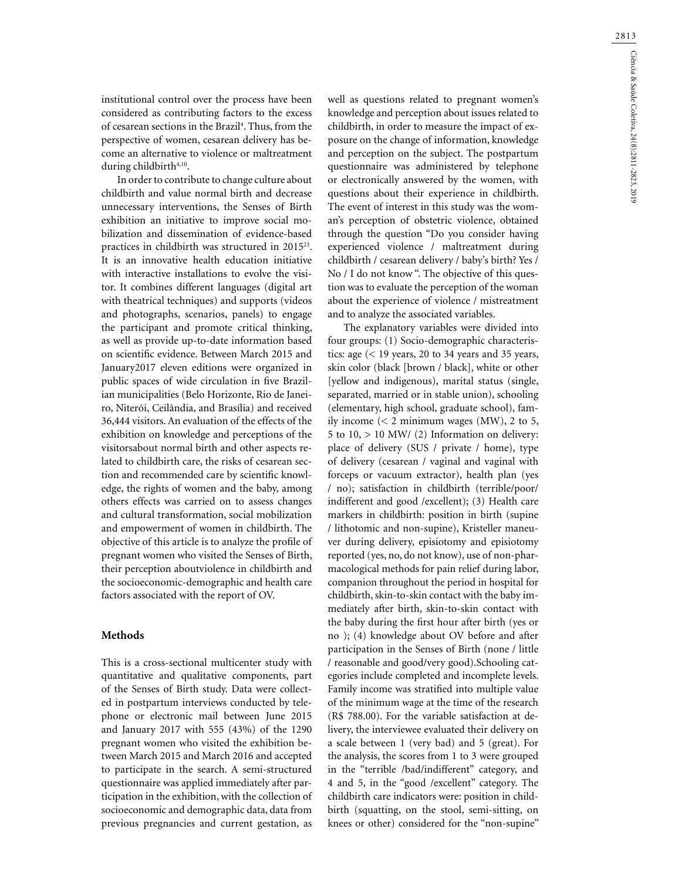institutional control over the process have been considered as contributing factors to the excess of cesarean sections in the Brazil<sup>4</sup>. Thus, from the perspective of women, cesarean delivery has become an alternative to violence or maltreatment during childbirth<sup>4,10</sup>.

In order to contribute to change culture about childbirth and value normal birth and decrease unnecessary interventions, the Senses of Birth exhibition an initiative to improve social mobilization and dissemination of evidence-based practices in childbirth was structured in 201523. It is an innovative health education initiative with interactive installations to evolve the visitor. It combines different languages (digital art with theatrical techniques) and supports (videos and photographs, scenarios, panels) to engage the participant and promote critical thinking, as well as provide up-to-date information based on scientific evidence. Between March 2015 and January2017 eleven editions were organized in public spaces of wide circulation in five Brazilian municipalities (Belo Horizonte, Rio de Janeiro, Niterói, Ceilândia, and Brasília) and received 36,444 visitors. An evaluation of the effects of the exhibition on knowledge and perceptions of the visitorsabout normal birth and other aspects related to childbirth care, the risks of cesarean section and recommended care by scientific knowledge, the rights of women and the baby, among others effects was carried on to assess changes and cultural transformation, social mobilization and empowerment of women in childbirth. The objective of this article is to analyze the profile of pregnant women who visited the Senses of Birth, their perception aboutviolence in childbirth and the socioeconomic-demographic and health care factors associated with the report of OV.

#### **Methods**

This is a cross-sectional multicenter study with quantitative and qualitative components, part of the Senses of Birth study. Data were collected in postpartum interviews conducted by telephone or electronic mail between June 2015 and January 2017 with 555 (43%) of the 1290 pregnant women who visited the exhibition between March 2015 and March 2016 and accepted to participate in the search. A semi-structured questionnaire was applied immediately after participation in the exhibition, with the collection of socioeconomic and demographic data, data from previous pregnancies and current gestation, as well as questions related to pregnant women's knowledge and perception about issues related to childbirth, in order to measure the impact of exposure on the change of information, knowledge and perception on the subject. The postpartum questionnaire was administered by telephone or electronically answered by the women, with questions about their experience in childbirth. The event of interest in this study was the woman's perception of obstetric violence, obtained through the question "Do you consider having experienced violence / maltreatment during childbirth / cesarean delivery / baby's birth? Yes / No / I do not know ". The objective of this question was to evaluate the perception of the woman about the experience of violence / mistreatment and to analyze the associated variables.

The explanatory variables were divided into four groups: (1) Socio-demographic characteristics: age  $($  19 years, 20 to 34 years and 35 years, skin color (black [brown / black], white or other [yellow and indigenous), marital status (single, separated, married or in stable union), schooling (elementary, high school, graduate school), family income  $(< 2$  minimum wages (MW), 2 to 5, 5 to  $10$ ,  $> 10$  MW/ (2) Information on delivery: place of delivery (SUS / private / home), type of delivery (cesarean / vaginal and vaginal with forceps or vacuum extractor), health plan (yes / no); satisfaction in childbirth (terrible/poor/ indifferent and good /excellent); (3) Health care markers in childbirth: position in birth (supine / lithotomic and non-supine), Kristeller maneuver during delivery, episiotomy and episiotomy reported (yes, no, do not know), use of non-pharmacological methods for pain relief during labor, companion throughout the period in hospital for childbirth, skin-to-skin contact with the baby immediately after birth, skin-to-skin contact with the baby during the first hour after birth (yes or no ); (4) knowledge about OV before and after participation in the Senses of Birth (none / little / reasonable and good/very good).Schooling categories include completed and incomplete levels. Family income was stratified into multiple value of the minimum wage at the time of the research (R\$ 788.00). For the variable satisfaction at delivery, the interviewee evaluated their delivery on a scale between 1 (very bad) and 5 (great). For the analysis, the scores from 1 to 3 were grouped in the "terrible /bad/indifferent" category, and 4 and 5, in the "good /excellent" category. The childbirth care indicators were: position in childbirth (squatting, on the stool, semi-sitting, on knees or other) considered for the "non-supine"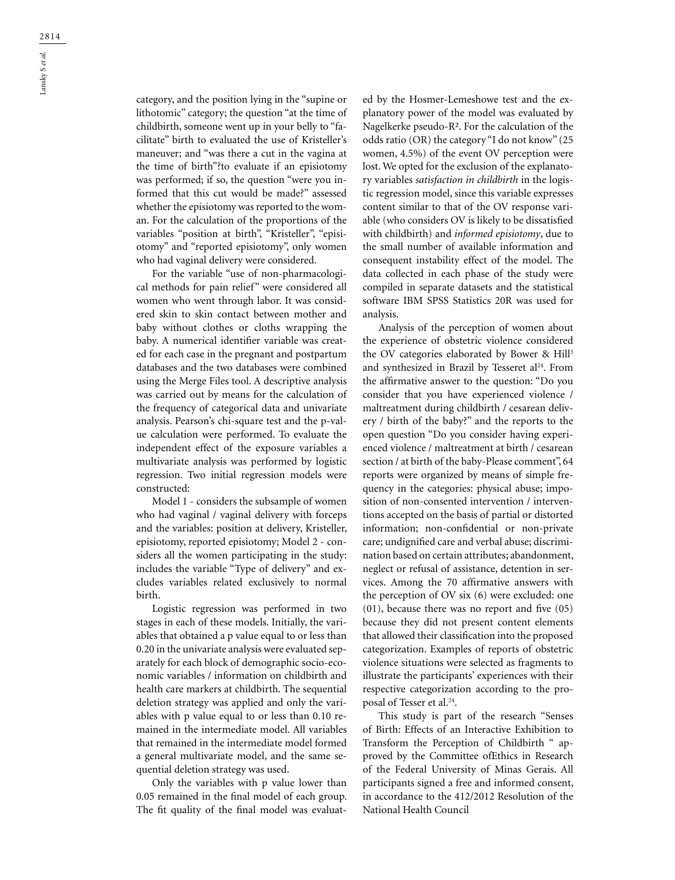category, and the position lying in the "supine or lithotomic" category; the question "at the time of childbirth, someone went up in your belly to "facilitate" birth to evaluated the use of Kristeller's maneuver; and "was there a cut in the vagina at the time of birth"?to evaluate if an episiotomy was performed; if so, the question "were you informed that this cut would be made?" assessed whether the episiotomy was reported to the woman. For the calculation of the proportions of the variables "position at birth", "Kristeller", "episiotomy" and "reported episiotomy", only women who had vaginal delivery were considered.

For the variable "use of non-pharmacological methods for pain relief" were considered all women who went through labor. It was considered skin to skin contact between mother and baby without clothes or cloths wrapping the baby. A numerical identifier variable was created for each case in the pregnant and postpartum databases and the two databases were combined using the Merge Files tool. A descriptive analysis was carried out by means for the calculation of the frequency of categorical data and univariate analysis. Pearson's chi-square test and the p-value calculation were performed. To evaluate the independent effect of the exposure variables a multivariate analysis was performed by logistic regression. Two initial regression models were constructed:

Model 1 - considers the subsample of women who had vaginal / vaginal delivery with forceps and the variables: position at delivery, Kristeller, episiotomy, reported episiotomy; Model 2 - considers all the women participating in the study: includes the variable "Type of delivery" and excludes variables related exclusively to normal birth.

Logistic regression was performed in two stages in each of these models. Initially, the variables that obtained a p value equal to or less than 0.20 in the univariate analysis were evaluated separately for each block of demographic socio-economic variables / information on childbirth and health care markers at childbirth. The sequential deletion strategy was applied and only the variables with p value equal to or less than 0.10 remained in the intermediate model. All variables that remained in the intermediate model formed a general multivariate model, and the same sequential deletion strategy was used.

Only the variables with p value lower than 0.05 remained in the final model of each group. The fit quality of the final model was evaluated by the Hosmer-Lemeshowe test and the explanatory power of the model was evaluated by Nagelkerke pseudo-R². For the calculation of the odds ratio (OR) the category "I do not know" (25 women, 4.5%) of the event OV perception were lost. We opted for the exclusion of the explanatory variables *satisfaction in childbirth* in the logistic regression model, since this variable expresses content similar to that of the OV response variable (who considers OV is likely to be dissatisfied with childbirth) and *informed episiotomy*, due to the small number of available information and consequent instability effect of the model. The data collected in each phase of the study were compiled in separate datasets and the statistical software IBM SPSS Statistics 20R was used for analysis.

Analysis of the perception of women about the experience of obstetric violence considered the OV categories elaborated by Bower & Hill<sup>3</sup> and synthesized in Brazil by Tesseret al<sup>24</sup>. From the affirmative answer to the question: "Do you consider that you have experienced violence / maltreatment during childbirth / cesarean delivery / birth of the baby?" and the reports to the open question "Do you consider having experienced violence / maltreatment at birth / cesarean section / at birth of the baby-Please comment", 64 reports were organized by means of simple frequency in the categories: physical abuse; imposition of non-consented intervention / interventions accepted on the basis of partial or distorted information; non-confidential or non-private care; undignified care and verbal abuse; discrimination based on certain attributes; abandonment, neglect or refusal of assistance, detention in services. Among the 70 affirmative answers with the perception of OV six (6) were excluded: one (01), because there was no report and five (05) because they did not present content elements that allowed their classification into the proposed categorization. Examples of reports of obstetric violence situations were selected as fragments to illustrate the participants' experiences with their respective categorization according to the proposal of Tesser et al.<sup>24</sup>.

This study is part of the research "Senses of Birth: Effects of an Interactive Exhibition to Transform the Perception of Childbirth " approved by the Committee ofEthics in Research of the Federal University of Minas Gerais. All participants signed a free and informed consent, in accordance to the 412/2012 Resolution of the National Health Council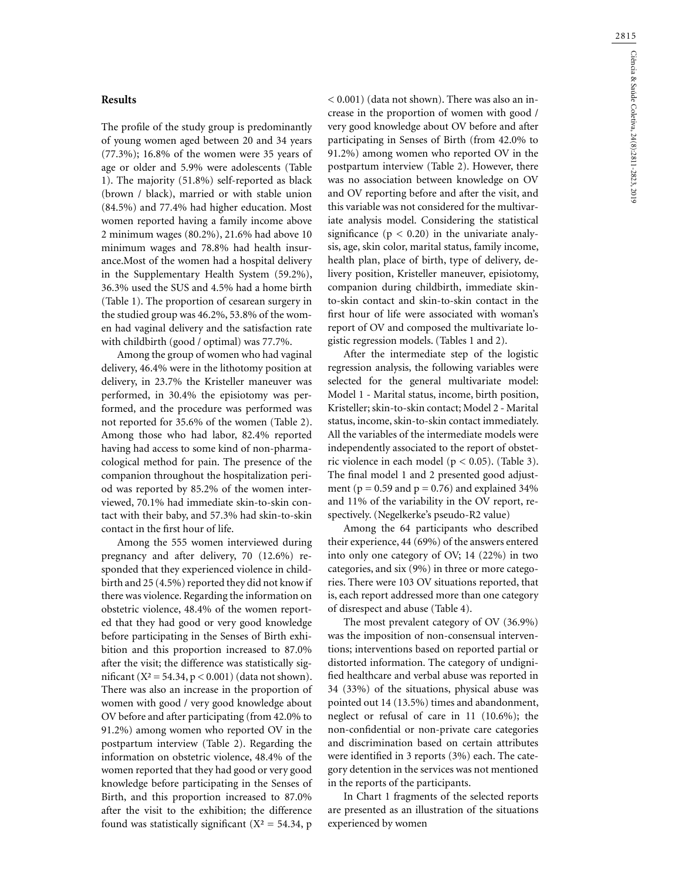2815

#### **Results**

The profile of the study group is predominantly of young women aged between 20 and 34 years (77.3%); 16.8% of the women were 35 years of age or older and 5.9% were adolescents (Table 1). The majority (51.8%) self-reported as black (brown / black), married or with stable union (84.5%) and 77.4% had higher education. Most women reported having a family income above 2 minimum wages (80.2%), 21.6% had above 10 minimum wages and 78.8% had health insurance.Most of the women had a hospital delivery in the Supplementary Health System (59.2%), 36.3% used the SUS and 4.5% had a home birth (Table 1). The proportion of cesarean surgery in the studied group was 46.2%, 53.8% of the women had vaginal delivery and the satisfaction rate with childbirth (good / optimal) was 77.7%.

Among the group of women who had vaginal delivery, 46.4% were in the lithotomy position at delivery, in 23.7% the Kristeller maneuver was performed, in 30.4% the episiotomy was performed, and the procedure was performed was not reported for 35.6% of the women (Table 2). Among those who had labor, 82.4% reported having had access to some kind of non-pharmacological method for pain. The presence of the companion throughout the hospitalization period was reported by 85.2% of the women interviewed, 70.1% had immediate skin-to-skin contact with their baby, and 57.3% had skin-to-skin contact in the first hour of life.

Among the 555 women interviewed during pregnancy and after delivery, 70 (12.6%) responded that they experienced violence in childbirth and 25 (4.5%) reported they did not know if there was violence. Regarding the information on obstetric violence, 48.4% of the women reported that they had good or very good knowledge before participating in the Senses of Birth exhibition and this proportion increased to 87.0% after the visit; the difference was statistically significant (X<sup>2</sup> = 54.34, p < 0.001) (data not shown). There was also an increase in the proportion of women with good / very good knowledge about OV before and after participating (from 42.0% to 91.2%) among women who reported OV in the postpartum interview (Table 2). Regarding the information on obstetric violence, 48.4% of the women reported that they had good or very good knowledge before participating in the Senses of Birth, and this proportion increased to 87.0% after the visit to the exhibition; the difference found was statistically significant ( $X^2 = 54.34$ , p

< 0.001) (data not shown). There was also an increase in the proportion of women with good / very good knowledge about OV before and after participating in Senses of Birth (from 42.0% to 91.2%) among women who reported OV in the postpartum interview (Table 2). However, there was no association between knowledge on OV and OV reporting before and after the visit, and this variable was not considered for the multivariate analysis model. Considering the statistical significance  $(p < 0.20)$  in the univariate analysis, age, skin color, marital status, family income, health plan, place of birth, type of delivery, delivery position, Kristeller maneuver, episiotomy, companion during childbirth, immediate skinto-skin contact and skin-to-skin contact in the first hour of life were associated with woman's report of OV and composed the multivariate logistic regression models. (Tables 1 and 2).

After the intermediate step of the logistic regression analysis, the following variables were selected for the general multivariate model: Model 1 - Marital status, income, birth position, Kristeller; skin-to-skin contact; Model 2 - Marital status, income, skin-to-skin contact immediately. All the variables of the intermediate models were independently associated to the report of obstetric violence in each model ( $p < 0.05$ ). (Table 3). The final model 1 and 2 presented good adjustment ( $p = 0.59$  and  $p = 0.76$ ) and explained 34% and 11% of the variability in the OV report, respectively. (Negelkerke's pseudo-R2 value)

Among the 64 participants who described their experience, 44 (69%) of the answers entered into only one category of OV; 14 (22%) in two categories, and six (9%) in three or more categories. There were 103 OV situations reported, that is, each report addressed more than one category of disrespect and abuse (Table 4).

The most prevalent category of OV (36.9%) was the imposition of non-consensual interventions; interventions based on reported partial or distorted information. The category of undignified healthcare and verbal abuse was reported in 34 (33%) of the situations, physical abuse was pointed out 14 (13.5%) times and abandonment, neglect or refusal of care in 11 (10.6%); the non-confidential or non-private care categories and discrimination based on certain attributes were identified in 3 reports (3%) each. The category detention in the services was not mentioned in the reports of the participants.

In Chart 1 fragments of the selected reports are presented as an illustration of the situations experienced by women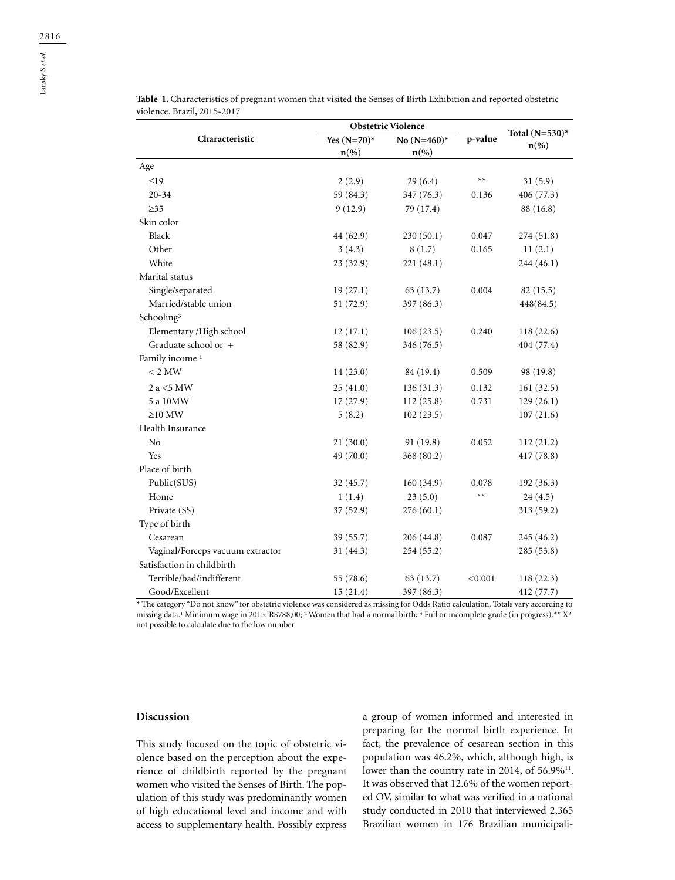|                                  | <b>Obstetric Violence</b> |                |         |                                         |
|----------------------------------|---------------------------|----------------|---------|-----------------------------------------|
| Characteristic                   | Yes $(N=70)^*$            | No $(N=460)^*$ | p-value | Total $(N=530)^*$<br>$n\left(\%\right)$ |
|                                  | $n\left(\%\right)$        | $n(\%)$        |         |                                         |
| Age                              |                           |                |         |                                         |
| $\leq$ 19                        | 2(2.9)                    | 29(6.4)        | $**$    | 31(5.9)                                 |
| $20 - 34$                        | 59 (84.3)                 | 347 (76.3)     | 0.136   | 406 (77.3)                              |
| $\geq$ 35                        | 9(12.9)                   | 79 (17.4)      |         | 88 (16.8)                               |
| Skin color                       |                           |                |         |                                         |
| Black                            | 44 (62.9)                 | 230(50.1)      | 0.047   | 274 (51.8)                              |
| Other                            | 3(4.3)                    | 8(1.7)         | 0.165   | 11(2.1)                                 |
| White                            | 23(32.9)                  | 221 (48.1)     |         | 244 (46.1)                              |
| Marital status                   |                           |                |         |                                         |
| Single/separated                 | 19(27.1)                  | 63(13.7)       | 0.004   | 82 (15.5)                               |
| Married/stable union             | 51 (72.9)                 | 397 (86.3)     |         | 448(84.5)                               |
| Schooling <sup>3</sup>           |                           |                |         |                                         |
| Elementary /High school          | 12(17.1)                  | 106(23.5)      | 0.240   | 118(22.6)                               |
| Graduate school or +             | 58 (82.9)                 | 346 (76.5)     |         | 404 (77.4)                              |
| Family income <sup>1</sup>       |                           |                |         |                                         |
| < 2 MW                           | 14(23.0)                  | 84 (19.4)      | 0.509   | 98 (19.8)                               |
| 2 a $<$ 5 MW                     | 25(41.0)                  | 136(31.3)      | 0.132   | 161(32.5)                               |
| 5 a 10MW                         | 17(27.9)                  | 112(25.8)      | 0.731   | 129(26.1)                               |
| $\geq$ 10 MW                     | 5(8.2)                    | 102(23.5)      |         | 107(21.6)                               |
| Health Insurance                 |                           |                |         |                                         |
| No                               | 21(30.0)                  | 91 (19.8)      | 0.052   | 112(21.2)                               |
| Yes                              | 49 (70.0)                 | 368 (80.2)     |         | 417 (78.8)                              |
| Place of birth                   |                           |                |         |                                         |
| Public(SUS)                      | 32(45.7)                  | 160(34.9)      | 0.078   | 192 (36.3)                              |
| Home                             | 1(1.4)                    | 23(5.0)        | $**$    | 24(4.5)                                 |
| Private (SS)                     | 37(52.9)                  | 276(60.1)      |         | 313 (59.2)                              |
| Type of birth                    |                           |                |         |                                         |
| Cesarean                         | 39 (55.7)                 | 206 (44.8)     | 0.087   | 245 (46.2)                              |
| Vaginal/Forceps vacuum extractor | 31(44.3)                  | 254 (55.2)     |         | 285(53.8)                               |
| Satisfaction in childbirth       |                           |                |         |                                         |
| Terrible/bad/indifferent         | 55 (78.6)                 | 63(13.7)       | < 0.001 | 118(22.3)                               |
| Good/Excellent                   | 15(21.4)                  | 397 (86.3)     |         | 412 (77.7)                              |

**Table 1.** Characteristics of pregnant women that visited the Senses of Birth Exhibition and reported obstetric violence. Brazil, 2015-2017

\* The category "Do not know" for obstetric violence was considered as missing for Odds Ratio calculation. Totals vary according to missing data.<sup>1</sup> Minimum wage in 2015: R\$788,00; <sup>2</sup> Women that had a normal birth; <sup>3</sup> Full or incomplete grade (in progress).\*\* X<sup>2</sup> not possible to calculate due to the low number.

#### **Discussion**

This study focused on the topic of obstetric violence based on the perception about the experience of childbirth reported by the pregnant women who visited the Senses of Birth. The population of this study was predominantly women of high educational level and income and with access to supplementary health. Possibly express a group of women informed and interested in preparing for the normal birth experience. In fact, the prevalence of cesarean section in this population was 46.2%, which, although high, is lower than the country rate in 2014, of  $56.9\%$ <sup>11</sup>. It was observed that 12.6% of the women reported OV, similar to what was verified in a national study conducted in 2010 that interviewed 2,365 Brazilian women in 176 Brazilian municipali-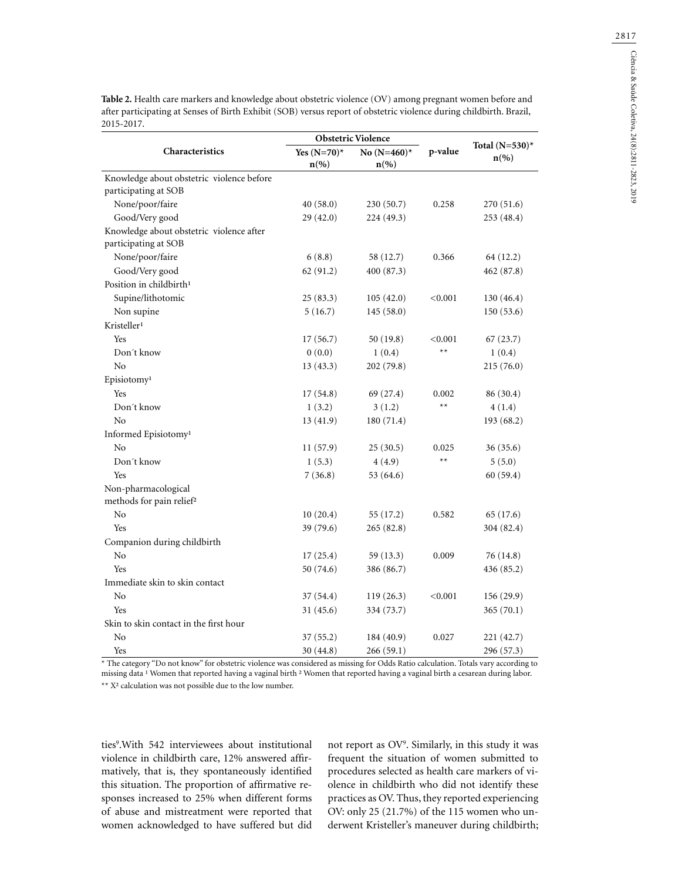|                                           |                | <b>Obstetric Violence</b> | p-value | Total $(N=530)^*$  |
|-------------------------------------------|----------------|---------------------------|---------|--------------------|
| Characteristics                           | Yes $(N=70)^*$ | No $(N=460)^*$            |         |                    |
|                                           | $n$ (%)        | $n$ (%)                   |         | $n\left(\%\right)$ |
| Knowledge about obstetric violence before |                |                           |         |                    |
| participating at SOB                      |                |                           |         |                    |
| None/poor/faire                           | 40(58.0)       | 230(50.7)                 | 0.258   | 270(51.6)          |
| Good/Very good                            | 29 (42.0)      | 224 (49.3)                |         | 253 (48.4)         |
| Knowledge about obstetric violence after  |                |                           |         |                    |
| participating at SOB                      |                |                           |         |                    |
| None/poor/faire                           | 6(8.8)         | 58 (12.7)                 | 0.366   | 64 (12.2)          |
| Good/Very good                            | 62(91.2)       | 400 (87.3)                |         | 462 (87.8)         |
| Position in childbirth <sup>1</sup>       |                |                           |         |                    |
| Supine/lithotomic                         | 25(83.3)       | 105(42.0)                 | < 0.001 | 130(46.4)          |
| Non supine                                | 5(16.7)        | 145(58.0)                 |         | 150(53.6)          |
| Kristeller <sup>1</sup>                   |                |                           |         |                    |
| Yes                                       | 17(56.7)       | 50(19.8)                  | < 0.001 | 67(23.7)           |
| Don't know                                | 0(0.0)         | 1(0.4)                    | $**$    | 1(0.4)             |
| No                                        | 13(43.3)       | 202 (79.8)                |         | 215(76.0)          |
| Episiotomy <sup>1</sup>                   |                |                           |         |                    |
| Yes                                       | 17(54.8)       | 69 (27.4)                 | 0.002   | 86 (30.4)          |
| Don't know                                | 1(3.2)         | 3(1.2)                    | $***$   | 4(1.4)             |
| N <sub>o</sub>                            | 13(41.9)       | 180 (71.4)                |         | 193 (68.2)         |
| Informed Episiotomy <sup>1</sup>          |                |                           |         |                    |
| N <sub>o</sub>                            | 11(57.9)       | 25(30.5)                  | 0.025   | 36(35.6)           |
| Don't know                                | 1(5.3)         | 4(4.9)                    | $**$    | 5(5.0)             |
| Yes                                       | 7(36.8)        | 53 (64.6)                 |         | 60(59.4)           |
| Non-pharmacological                       |                |                           |         |                    |
| methods for pain relief <sup>2</sup>      |                |                           |         |                    |
| No                                        | 10(20.4)       | 55 (17.2)                 | 0.582   | 65 (17.6)          |
| Yes                                       | 39 (79.6)      | 265 (82.8)                |         | 304 (82.4)         |
| Companion during childbirth               |                |                           |         |                    |
| No                                        | 17(25.4)       | 59 (13.3)                 | 0.009   | 76 (14.8)          |
| Yes                                       | 50(74.6)       | 386 (86.7)                |         | 436 (85.2)         |
| Immediate skin to skin contact            |                |                           |         |                    |
| No                                        | 37(54.4)       | 119(26.3)                 | < 0.001 | 156 (29.9)         |
| Yes                                       | 31(45.6)       | 334 (73.7)                |         | 365(70.1)          |
| Skin to skin contact in the first hour    |                |                           |         |                    |
| No                                        | 37(55.2)       | 184 (40.9)                | 0.027   | 221 (42.7)         |

**Table 2.** Health care markers and knowledge about obstetric violence (OV) among pregnant women before and after participating at Senses of Birth Exhibit (SOB) versus report of obstetric violence during childbirth. Brazil, 2015-2017.

Yes  $30 (44.8)$   $266 (59.1)$   $296 (57.3)$ \* The category "Do not know" for obstetric violence was considered as missing for Odds Ratio calculation. Totals vary according to missing data 'Women that reported having a vaginal birth <sup>2</sup> Women that reported having a vaginal birth a cesarean during labor.

\*\* X<sup>2</sup> calculation was not possible due to the low number.

ties<sup>9</sup>. With 542 interviewees about institutional violence in childbirth care, 12% answered affirmatively, that is, they spontaneously identified this situation. The proportion of affirmative responses increased to 25% when different forms of abuse and mistreatment were reported that women acknowledged to have suffered but did

not report as OV<sup>9</sup>. Similarly, in this study it was frequent the situation of women submitted to procedures selected as health care markers of violence in childbirth who did not identify these practices as OV. Thus, they reported experiencing OV: only 25 (21.7%) of the 115 women who underwent Kristeller's maneuver during childbirth;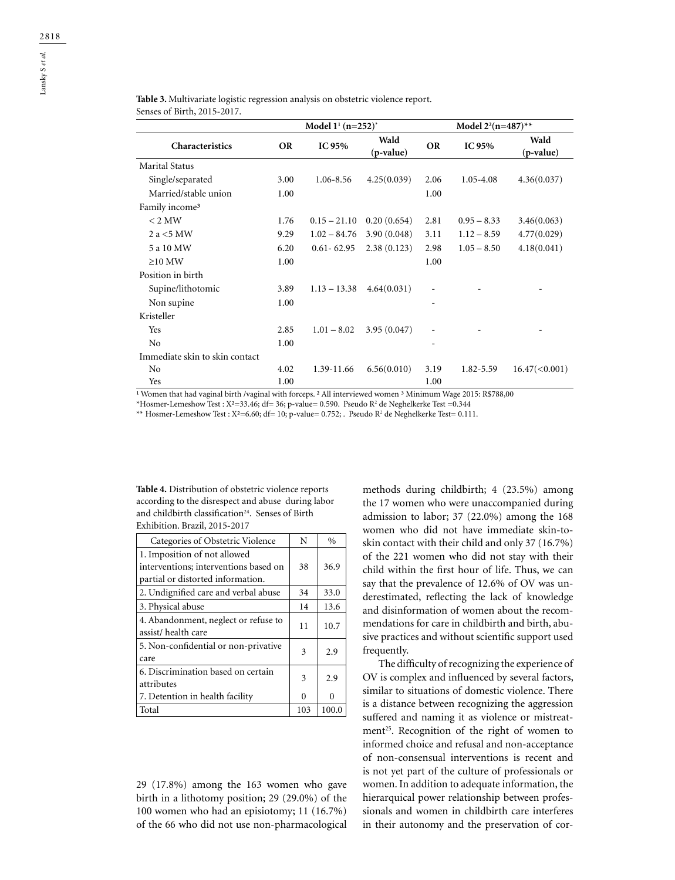|                                | Model $1^1$ (n=252) <sup>*</sup> |                |                   | Model $2^{2}(n=487)$ **  |               |                   |
|--------------------------------|----------------------------------|----------------|-------------------|--------------------------|---------------|-------------------|
| Characteristics                | <b>OR</b>                        | IC 95%         | Wald<br>(p-value) | <b>OR</b>                | IC 95%        | Wald<br>(p-value) |
| <b>Marital Status</b>          |                                  |                |                   |                          |               |                   |
| Single/separated               | 3.00                             | 1.06-8.56      | 4.25(0.039)       | 2.06                     | $1.05 - 4.08$ | 4.36(0.037)       |
| Married/stable union           | 1.00                             |                |                   | 1.00                     |               |                   |
| Family income <sup>3</sup>     |                                  |                |                   |                          |               |                   |
| $< 2$ MW                       | 1.76                             | $0.15 - 21.10$ | 0.20(0.654)       | 2.81                     | $0.95 - 8.33$ | 3.46(0.063)       |
| 2a < 5MW                       | 9.29                             | $1.02 - 84.76$ | 3.90(0.048)       | 3.11                     | $1.12 - 8.59$ | 4.77(0.029)       |
| 5 a 10 MW                      | 6.20                             | $0.61 - 62.95$ | 2.38(0.123)       | 2.98                     | $1.05 - 8.50$ | 4.18(0.041)       |
| $\geq$ 10 MW                   | 1.00                             |                |                   | 1.00                     |               |                   |
| Position in birth              |                                  |                |                   |                          |               |                   |
| Supine/lithotomic              | 3.89                             | $1.13 - 13.38$ | 4.64(0.031)       |                          |               |                   |
| Non supine                     | 1.00                             |                |                   |                          |               |                   |
| Kristeller                     |                                  |                |                   |                          |               |                   |
| Yes                            | 2.85                             | $1.01 - 8.02$  | 3.95(0.047)       | $\overline{\phantom{0}}$ |               |                   |
| N <sub>0</sub>                 | 1.00                             |                |                   | ۰                        |               |                   |
| Immediate skin to skin contact |                                  |                |                   |                          |               |                   |
| N <sub>0</sub>                 | 4.02                             | 1.39-11.66     | 6.56(0.010)       | 3.19                     | 1.82-5.59     | 16.47(<0.001)     |
| Yes                            | 1.00                             |                |                   | 1.00                     |               |                   |

<sup>1</sup> Women that had vaginal birth /vaginal with forceps. <sup>2</sup> All interviewed women <sup>3</sup> Minimum Wage 2015: R\$788,00

\*Hosmer-Lemeshow Test : X²=33.46; df= 36; p-value= 0.590. Pseudo R2 de Neghelkerke Test =0.344

 $^{\ast\ast}$  Hosmer-Lemeshow Test : X²=6.60; df= 10; p-value= 0.752; . Pseudo R² de Neghelkerke Test= 0.111.

| <b>Table 4.</b> Distribution of obstetric violence reports    |
|---------------------------------------------------------------|
| according to the disrespect and abuse during labor            |
| and childbirth classification <sup>24</sup> . Senses of Birth |
| Exhibition. Brazil, 2015-2017                                 |

| Categories of Obstetric Violence      | N   | $\%$  |
|---------------------------------------|-----|-------|
| 1. Imposition of not allowed          |     |       |
| interventions; interventions based on | 38  | 36.9  |
| partial or distorted information.     |     |       |
| 2. Undignified care and verbal abuse  | 34  | 33.0  |
| 3. Physical abuse                     | 14  | 13.6  |
| 4. Abandonment, neglect or refuse to  | 11  | 10.7  |
| assist/health care                    |     |       |
| 5. Non-confidential or non-privative  | 3   | 2.9   |
| care                                  |     |       |
| 6. Discrimination based on certain    | 3   | 2.9   |
| attributes                            |     |       |
| 7. Detention in health facility       | 0   | 0     |
| Total                                 | 103 | 100.0 |

29 (17.8%) among the 163 women who gave birth in a lithotomy position; 29 (29.0%) of the 100 women who had an episiotomy; 11 (16.7%) of the 66 who did not use non-pharmacological

methods during childbirth; 4 (23.5%) among the 17 women who were unaccompanied during admission to labor; 37 (22.0%) among the 168 women who did not have immediate skin-toskin contact with their child and only 37 (16.7%) of the 221 women who did not stay with their child within the first hour of life. Thus, we can say that the prevalence of 12.6% of OV was underestimated, reflecting the lack of knowledge and disinformation of women about the recommendations for care in childbirth and birth, abusive practices and without scientific support used frequently.

The difficulty of recognizing the experience of OV is complex and influenced by several factors, similar to situations of domestic violence. There is a distance between recognizing the aggression suffered and naming it as violence or mistreatment<sup>25</sup>. Recognition of the right of women to informed choice and refusal and non-acceptance of non-consensual interventions is recent and is not yet part of the culture of professionals or women. In addition to adequate information, the hierarquical power relationship between professionals and women in childbirth care interferes in their autonomy and the preservation of cor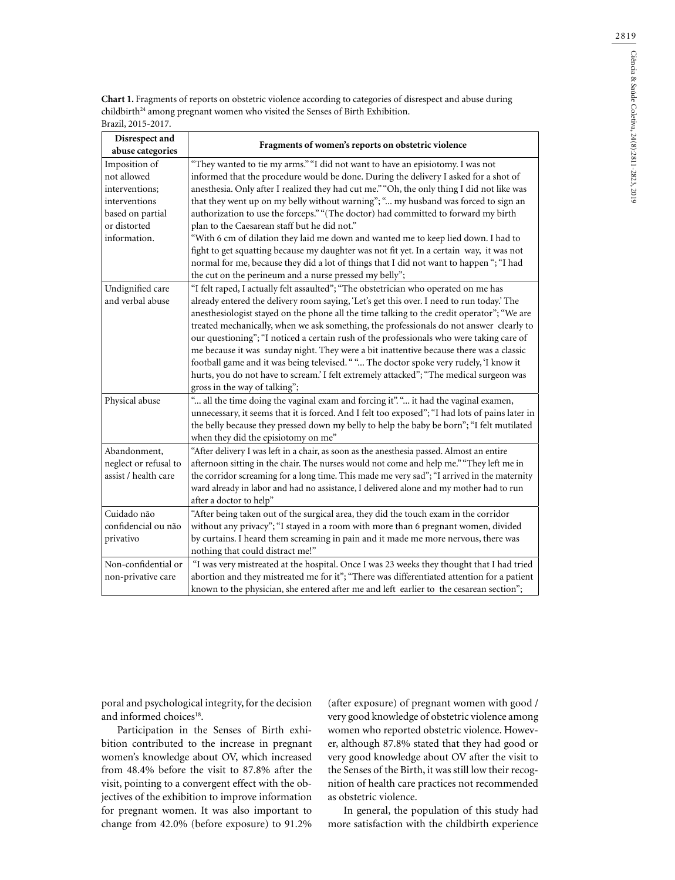**Chart 1.** Fragments of reports on obstetric violence according to categories of disrespect and abuse during childbirth<sup>24</sup> among pregnant women who visited the Senses of Birth Exhibition. Brazil, 2015-2017.

| Disrespect and<br>abuse categories | Fragments of women's reports on obstetric violence                                                                                                                                  |
|------------------------------------|-------------------------------------------------------------------------------------------------------------------------------------------------------------------------------------|
| Imposition of                      | "They wanted to tie my arms." "I did not want to have an episiotomy. I was not                                                                                                      |
| not allowed                        | informed that the procedure would be done. During the delivery I asked for a shot of                                                                                                |
| interventions;                     | anesthesia. Only after I realized they had cut me." "Oh, the only thing I did not like was                                                                                          |
| interventions                      | that they went up on my belly without warning"; " my husband was forced to sign an                                                                                                  |
| based on partial                   | authorization to use the forceps." "(The doctor) had committed to forward my birth                                                                                                  |
| or distorted                       | plan to the Caesarean staff but he did not."                                                                                                                                        |
| information.                       | "With 6 cm of dilation they laid me down and wanted me to keep lied down. I had to                                                                                                  |
|                                    | fight to get squatting because my daughter was not fit yet. In a certain way, it was not<br>normal for me, because they did a lot of things that I did not want to happen "; "I had |
|                                    | the cut on the perineum and a nurse pressed my belly";                                                                                                                              |
| Undignified care                   | "I felt raped, I actually felt assaulted"; "The obstetrician who operated on me has                                                                                                 |
| and verbal abuse                   | already entered the delivery room saying, 'Let's get this over. I need to run today.' The                                                                                           |
|                                    | anesthesiologist stayed on the phone all the time talking to the credit operator"; "We are                                                                                          |
|                                    | treated mechanically, when we ask something, the professionals do not answer clearly to                                                                                             |
|                                    | our questioning"; "I noticed a certain rush of the professionals who were taking care of                                                                                            |
|                                    | me because it was sunday night. They were a bit inattentive because there was a classic                                                                                             |
|                                    | football game and it was being televised. "" The doctor spoke very rudely, 'I know it                                                                                               |
|                                    | hurts, you do not have to scream.' I felt extremely attacked"; "The medical surgeon was                                                                                             |
|                                    | gross in the way of talking";                                                                                                                                                       |
| Physical abuse                     | " all the time doing the vaginal exam and forcing it". " it had the vaginal examen,                                                                                                 |
|                                    | unnecessary, it seems that it is forced. And I felt too exposed"; "I had lots of pains later in                                                                                     |
|                                    | the belly because they pressed down my belly to help the baby be born"; "I felt mutilated                                                                                           |
|                                    | when they did the episiotomy on me"                                                                                                                                                 |
| Abandonment,                       | "After delivery I was left in a chair, as soon as the anesthesia passed. Almost an entire                                                                                           |
| neglect or refusal to              | afternoon sitting in the chair. The nurses would not come and help me." "They left me in                                                                                            |
| assist / health care               | the corridor screaming for a long time. This made me very sad"; "I arrived in the maternity                                                                                         |
|                                    | ward already in labor and had no assistance, I delivered alone and my mother had to run                                                                                             |
|                                    | after a doctor to help"                                                                                                                                                             |
| Cuidado não                        | "After being taken out of the surgical area, they did the touch exam in the corridor                                                                                                |
| confidencial ou não                | without any privacy"; "I stayed in a room with more than 6 pregnant women, divided                                                                                                  |
| privativo                          | by curtains. I heard them screaming in pain and it made me more nervous, there was                                                                                                  |
|                                    | nothing that could distract me!"                                                                                                                                                    |
| Non-confidential or                | "I was very mistreated at the hospital. Once I was 23 weeks they thought that I had tried                                                                                           |
| non-privative care                 | abortion and they mistreated me for it"; "There was differentiated attention for a patient                                                                                          |
|                                    | known to the physician, she entered after me and left earlier to the cesarean section";                                                                                             |

poral and psychological integrity, for the decision and informed choices<sup>18</sup>.

Participation in the Senses of Birth exhibition contributed to the increase in pregnant women's knowledge about OV, which increased from 48.4% before the visit to 87.8% after the visit, pointing to a convergent effect with the objectives of the exhibition to improve information for pregnant women. It was also important to change from 42.0% (before exposure) to 91.2%

(after exposure) of pregnant women with good / very good knowledge of obstetric violence among women who reported obstetric violence. However, although 87.8% stated that they had good or very good knowledge about OV after the visit to the Senses of the Birth, it was still low their recognition of health care practices not recommended as obstetric violence.

In general, the population of this study had more satisfaction with the childbirth experience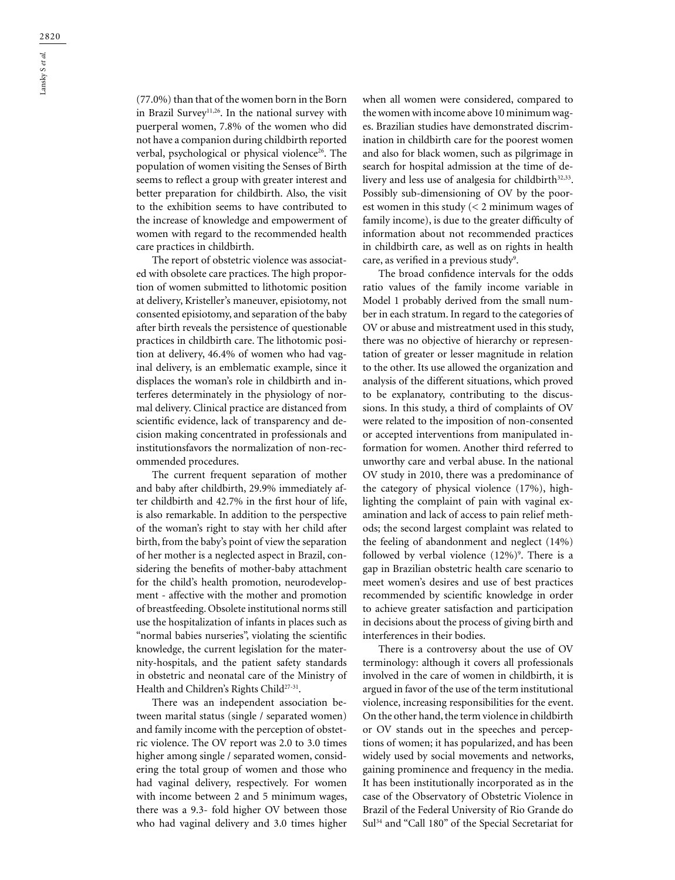(77.0%) than that of the women born in the Born in Brazil Survey<sup>11,26</sup>. In the national survey with puerperal women, 7.8% of the women who did not have a companion during childbirth reported verbal, psychological or physical violence<sup>26</sup>. The population of women visiting the Senses of Birth seems to reflect a group with greater interest and better preparation for childbirth. Also, the visit to the exhibition seems to have contributed to the increase of knowledge and empowerment of women with regard to the recommended health care practices in childbirth.

The report of obstetric violence was associated with obsolete care practices. The high proportion of women submitted to lithotomic position at delivery, Kristeller's maneuver, episiotomy, not consented episiotomy, and separation of the baby after birth reveals the persistence of questionable practices in childbirth care. The lithotomic position at delivery, 46.4% of women who had vaginal delivery, is an emblematic example, since it displaces the woman's role in childbirth and interferes determinately in the physiology of normal delivery. Clinical practice are distanced from scientific evidence, lack of transparency and decision making concentrated in professionals and institutionsfavors the normalization of non-recommended procedures.

The current frequent separation of mother and baby after childbirth, 29.9% immediately after childbirth and 42.7% in the first hour of life, is also remarkable. In addition to the perspective of the woman's right to stay with her child after birth, from the baby's point of view the separation of her mother is a neglected aspect in Brazil, considering the benefits of mother-baby attachment for the child's health promotion, neurodevelopment - affective with the mother and promotion of breastfeeding. Obsolete institutional norms still use the hospitalization of infants in places such as "normal babies nurseries", violating the scientific knowledge, the current legislation for the maternity-hospitals, and the patient safety standards in obstetric and neonatal care of the Ministry of Health and Children's Rights Child<sup>27-31</sup>.

There was an independent association between marital status (single / separated women) and family income with the perception of obstetric violence. The OV report was 2.0 to 3.0 times higher among single / separated women, considering the total group of women and those who had vaginal delivery, respectively. For women with income between 2 and 5 minimum wages, there was a 9.3- fold higher OV between those who had vaginal delivery and 3.0 times higher when all women were considered, compared to the women with income above 10 minimum wages. Brazilian studies have demonstrated discrimination in childbirth care for the poorest women and also for black women, such as pilgrimage in search for hospital admission at the time of delivery and less use of analgesia for childbirth<sup>32,33</sup>. Possibly sub-dimensioning of OV by the poorest women in this study (< 2 minimum wages of family income), is due to the greater difficulty of information about not recommended practices in childbirth care, as well as on rights in health care, as verified in a previous study<sup>9</sup>.

The broad confidence intervals for the odds ratio values of the family income variable in Model 1 probably derived from the small number in each stratum. In regard to the categories of OV or abuse and mistreatment used in this study, there was no objective of hierarchy or representation of greater or lesser magnitude in relation to the other. Its use allowed the organization and analysis of the different situations, which proved to be explanatory, contributing to the discussions. In this study, a third of complaints of OV were related to the imposition of non-consented or accepted interventions from manipulated information for women. Another third referred to unworthy care and verbal abuse. In the national OV study in 2010, there was a predominance of the category of physical violence (17%), highlighting the complaint of pain with vaginal examination and lack of access to pain relief methods; the second largest complaint was related to the feeling of abandonment and neglect (14%) followed by verbal violence  $(12\%)$ <sup>9</sup>. There is a gap in Brazilian obstetric health care scenario to meet women's desires and use of best practices recommended by scientific knowledge in order to achieve greater satisfaction and participation in decisions about the process of giving birth and interferences in their bodies.

There is a controversy about the use of OV terminology: although it covers all professionals involved in the care of women in childbirth, it is argued in favor of the use of the term institutional violence, increasing responsibilities for the event. On the other hand, the term violence in childbirth or OV stands out in the speeches and perceptions of women; it has popularized, and has been widely used by social movements and networks, gaining prominence and frequency in the media. It has been institutionally incorporated as in the case of the Observatory of Obstetric Violence in Brazil of the Federal University of Rio Grande do Sul34 and "Call 180" of the Special Secretariat for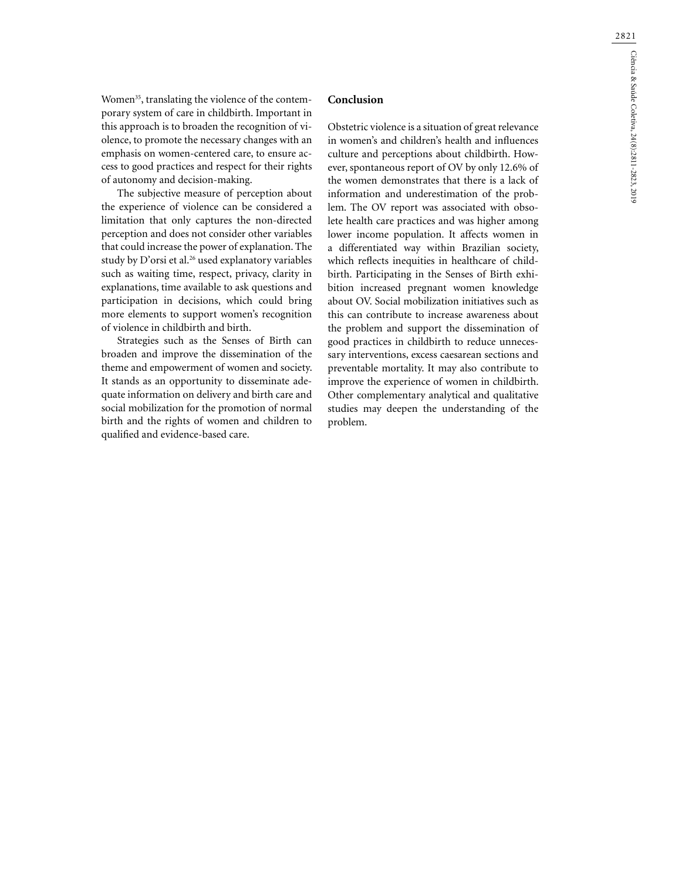Women<sup>35</sup>, translating the violence of the contemporary system of care in childbirth. Important in this approach is to broaden the recognition of violence, to promote the necessary changes with an emphasis on women-centered care, to ensure access to good practices and respect for their rights of autonomy and decision-making.

The subjective measure of perception about the experience of violence can be considered a limitation that only captures the non-directed perception and does not consider other variables that could increase the power of explanation. The study by D'orsi et al.<sup>26</sup> used explanatory variables such as waiting time, respect, privacy, clarity in explanations, time available to ask questions and participation in decisions, which could bring more elements to support women's recognition of violence in childbirth and birth.

Strategies such as the Senses of Birth can broaden and improve the dissemination of the theme and empowerment of women and society. It stands as an opportunity to disseminate adequate information on delivery and birth care and social mobilization for the promotion of normal birth and the rights of women and children to qualified and evidence-based care.

#### **Conclusion**

Obstetric violence is a situation of great relevance in women's and children's health and influences culture and perceptions about childbirth. However, spontaneous report of OV by only 12.6% of the women demonstrates that there is a lack of information and underestimation of the problem. The OV report was associated with obsolete health care practices and was higher among lower income population. It affects women in a differentiated way within Brazilian society, which reflects inequities in healthcare of childbirth. Participating in the Senses of Birth exhibition increased pregnant women knowledge about OV. Social mobilization initiatives such as this can contribute to increase awareness about the problem and support the dissemination of good practices in childbirth to reduce unnecessary interventions, excess caesarean sections and preventable mortality. It may also contribute to improve the experience of women in childbirth. Other complementary analytical and qualitative studies may deepen the understanding of the problem.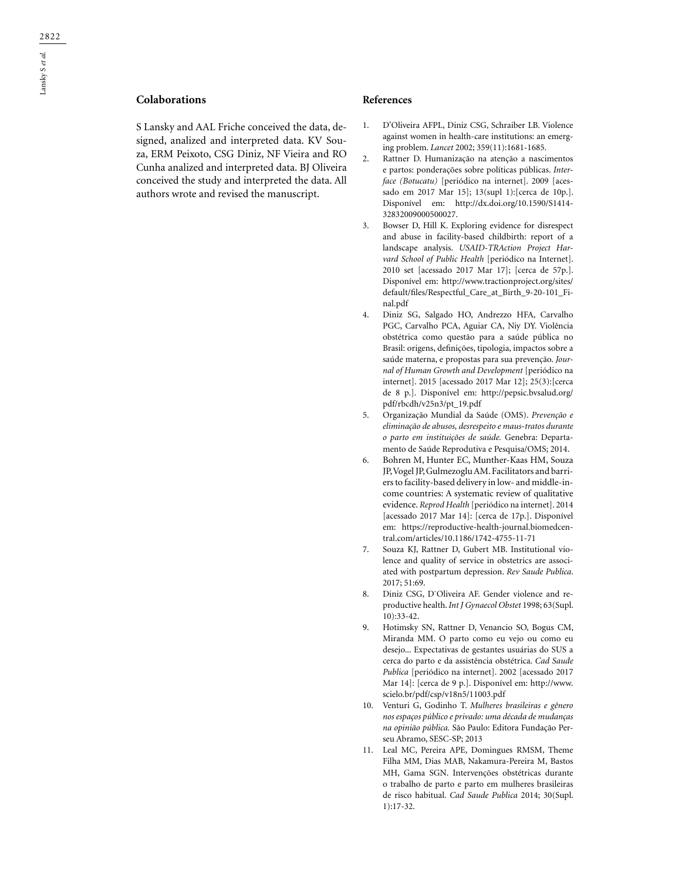## **Colaborations**

S Lansky and AAL Friche conceived the data, designed, analized and interpreted data. KV Souza, ERM Peixoto, CSG Diniz, NF Vieira and RO Cunha analized and interpreted data. BJ Oliveira conceived the study and interpreted the data. All authors wrote and revised the manuscript.

#### **References**

- 1. D'Oliveira AFPL, Diniz CSG, Schraiber LB. Violence against women in health-care institutions: an emerging problem. *Lancet* 2002; 359(11):1681-1685.
- 2. Rattner D. Humanização na atenção a nascimentos e partos: ponderações sobre políticas públicas. *Interface (Botucatu)* [periódico na internet]. 2009 [acessado em 2017 Mar 15]; 13(supl 1):[cerca de 10p.]. Disponível em: http://dx.doi.org/10.1590/S1414- 32832009000500027.
- 3. Bowser D, Hill K. Exploring evidence for disrespect and abuse in facility-based childbirth: report of a landscape analysis. *USAID-TRAction Project Harvard School of Public Health* [periódico na Internet]. 2010 set [acessado 2017 Mar 17]; [cerca de 57p.]. Disponível em: http://www.tractionproject.org/sites/ default/files/Respectful\_Care\_at\_Birth\_9-20-101\_Final.pdf
- 4. Diniz SG, Salgado HO, Andrezzo HFA, Carvalho PGC, Carvalho PCA, Aguiar CA, Niy DY. Violência obstétrica como questão para a saúde pública no Brasil: origens, definições, tipologia, impactos sobre a saúde materna, e propostas para sua prevenção. *Journal of Human Growth and Development* [periódico na internet]. 2015 [acessado 2017 Mar 12]; 25(3):[cerca de 8 p.]. Disponível em: http://pepsic.bvsalud.org/ pdf/rbcdh/v25n3/pt\_19.pdf
- 5. Organização Mundial da Saúde (OMS). *Prevenção e eliminação de abusos, desrespeito e maus-tratos durante o parto em instituições de saúde.* Genebra: Departamento de Saúde Reprodutiva e Pesquisa/OMS; 2014.
- 6. Bohren M, Hunter EC, Munther-Kaas HM, Souza JP, Vogel JP, Gulmezoglu AM. Facilitators and barriers to facility-based delivery in low- and middle-income countries: A systematic review of qualitative evidence. *Reprod Health* [periódico na internet]. 2014 [acessado 2017 Mar 14]: [cerca de 17p.]. Disponível em: https://reproductive-health-journal.biomedcentral.com/articles/10.1186/1742-4755-11-71
- 7. Souza KJ, Rattner D, Gubert MB. Institutional violence and quality of service in obstetrics are associated with postpartum depression. *Rev Saude Publica*. 2017; 51:69.
- 8. Diniz CSG, D`Oliveira AF. Gender violence and reproductive health. *Int J Gynaecol Obstet* 1998; 63(Supl. 10):33-42.
- 9. Hotimsky SN, Rattner D, Venancio SO, Bogus CM, Miranda MM. O parto como eu vejo ou como eu desejo... Expectativas de gestantes usuárias do SUS a cerca do parto e da assistência obstétrica. *Cad Saude Publica* [periódico na internet]. 2002 [acessado 2017 Mar 14]: [cerca de 9 p.]. Disponível em: http://www. scielo.br/pdf/csp/v18n5/11003.pdf
- 10. Venturi G, Godinho T. *Mulheres brasileiras e gênero nos espaços público e privado: uma década de mudanças na opinião pública.* São Paulo: Editora Fundação Perseu Abramo, SESC-SP; 2013
- 11. Leal MC, Pereira APE, Domingues RMSM, Theme Filha MM, Dias MAB, Nakamura-Pereira M, Bastos MH, Gama SGN. Intervenções obstétricas durante o trabalho de parto e parto em mulheres brasileiras de risco habitual. *Cad Saude Publica* 2014; 30(Supl. 1):17-32.